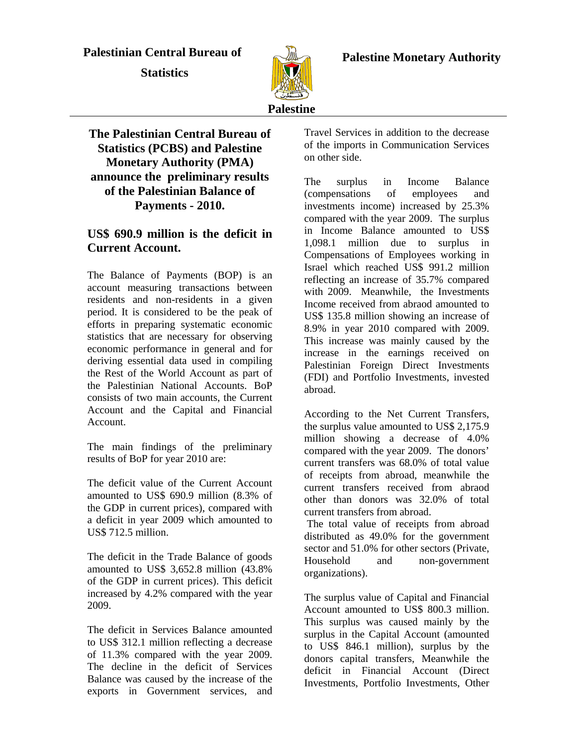## **Palestinian Central Bureau of**

 **Statistics** 



 **Palestine Monetary Authority** 

# **The Palestinian Central Bureau of Statistics (PCBS) and Palestine Monetary Authority (PMA) announce the preliminary results of the Palestinian Balance of Payments - 2010.**

# **US\$ 690.9 million is the deficit in Current Account.**

The Balance of Payments (BOP) is an account measuring transactions between residents and non-residents in a given period. It is considered to be the peak of efforts in preparing systematic economic statistics that are necessary for observing economic performance in general and for deriving essential data used in compiling the Rest of the World Account as part of the Palestinian National Accounts. BoP consists of two main accounts, the Current Account and the Capital and Financial Account.

The main findings of the preliminary results of BoP for year 2010 are:

The deficit value of the Current Account amounted to US\$ 690.9 million (8.3% of the GDP in current prices), compared with a deficit in year 2009 which amounted to US\$ 712.5 million.

The deficit in the Trade Balance of goods amounted to US\$ 3,652.8 million (43.8% of the GDP in current prices). This deficit increased by 4.2% compared with the year 2009.

The deficit in Services Balance amounted to US\$ 312.1 million reflecting a decrease of 11.3% compared with the year 2009. The decline in the deficit of Services Balance was caused by the increase of the exports in Government services, and Travel Services in addition to the decrease of the imports in Communication Services on other side.

The surplus in Income Balance (compensations of employees and investments income) increased by 25.3% compared with the year 2009. The surplus in Income Balance amounted to US\$ 1,098.1 million due to surplus in Compensations of Employees working in Israel which reached US\$ 991.2 million reflecting an increase of 35.7% compared with 2009. Meanwhile, the Investments Income received from abraod amounted to US\$ 135.8 million showing an increase of 8.9% in year 2010 compared with 2009. This increase was mainly caused by the increase in the earnings received on Palestinian Foreign Direct Investments (FDI) and Portfolio Investments, invested abroad.

According to the Net Current Transfers, the surplus value amounted to US\$ 2,175.9 million showing a decrease of 4.0% compared with the year 2009. The donors' current transfers was 68.0% of total value of receipts from abroad, meanwhile the current transfers received from abraod other than donors was 32.0% of total current transfers from abroad.

 The total value of receipts from abroad distributed as 49.0% for the government sector and 51.0% for other sectors (Private, Household and non-government organizations).

The surplus value of Capital and Financial Account amounted to US\$ 800.3 million. This surplus was caused mainly by the surplus in the Capital Account (amounted to US\$ 846.1 million), surplus by the donors capital transfers, Meanwhile the deficit in Financial Account (Direct Investments, Portfolio Investments, Other